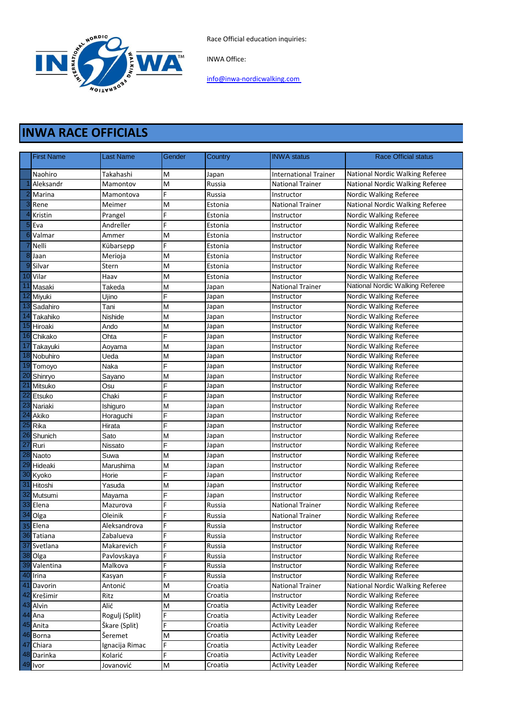Race Official education inquiries:



INWA Office:

[info@inwa-nordicwalking.com](mailto:info@inwa-nordicwalking.com) 

## **INWA RACE OFFICIALS**

|                 | <b>First Name</b> | Last Name      | Gender | Country | <b>INWA status</b>      | <b>Race Official status</b>     |
|-----------------|-------------------|----------------|--------|---------|-------------------------|---------------------------------|
|                 | Naohiro           | Takahashi      | M      | Japan   | International Trainer   | National Nordic Walking Referee |
|                 | Aleksandr         | Mamontov       | M      | Russia  | <b>National Trainer</b> | National Nordic Walking Referee |
|                 | Marina            | Mamontova      | F      | Russia  | Instructor              | Nordic Walking Referee          |
|                 | Rene              | Meimer         | M      | Estonia | <b>National Trainer</b> | National Nordic Walking Referee |
|                 | Kristin           | Prangel        | F      | Estonia | Instructor              | Nordic Walking Referee          |
| 5               | Eva               | Andreller      | F      | Estonia | Instructor              | Nordic Walking Referee          |
| 6               | Valmar            | Ammer          | M      | Estonia | Instructor              | Nordic Walking Referee          |
|                 | Nelli             | Kübarsepp      | F      | Estonia | Instructor              | Nordic Walking Referee          |
| 8               | Jaan              | Merioja        | M      | Estonia | Instructor              | Nordic Walking Referee          |
| g               | Silvar            | Stern          | M      | Estonia | Instructor              | Nordic Walking Referee          |
| 10              | Vilar             | Haav           | M      | Estonia | Instructor              | Nordic Walking Referee          |
|                 | Masaki            | Takeda         | M      | Japan   | <b>National Trainer</b> | National Nordic Walking Referee |
| 12              | Miyuki            | Ujino          | F      | Japan   | Instructor              | Nordic Walking Referee          |
| 13              | Sadahiro          | Tani           | M      | Japan   | Instructor              | Nordic Walking Referee          |
| 14              | Takahiko          | Nishide        | M      | Japan   | Instructor              | Nordic Walking Referee          |
| 15              | Hiroaki           | Ando           | M      | Japan   | Instructor              | Nordic Walking Referee          |
|                 | 16 Chikako        | Ohta           | F      | Japan   | Instructor              | Nordic Walking Referee          |
| 17              | Takayuki          | Aoyama         | M      | Japan   | Instructor              | Nordic Walking Referee          |
| 18              | Nobuhiro          | Ueda           | M      | Japan   | Instructor              | Nordic Walking Referee          |
|                 | 19 Tomoyo         | Naka           | F      | Japan   | Instructor              | Nordic Walking Referee          |
| 20              | Shinryo           | Sayano         | M      | Japan   | Instructor              | Nordic Walking Referee          |
| $\overline{2}$  | Mitsuko           | Osu            | F      | Japan   | Instructor              | Nordic Walking Referee          |
| $\overline{22}$ | Etsuko            | Chaki          | F      | Japan   | Instructor              | Nordic Walking Referee          |
| $\overline{23}$ | Nariaki           | Ishiguro       | M      | Japan   | Instructor              | Nordic Walking Referee          |
| 24              | Akiko             | Horaguchi      | F      | Japan   | Instructor              | Nordic Walking Referee          |
| $\overline{25}$ | Rika              | Hirata         | F      | Japan   | Instructor              | Nordic Walking Referee          |
| 26              | Shunich           | Sato           | M      | Japan   | Instructor              | Nordic Walking Referee          |
| $\overline{27}$ | Ruri              | Nissato        | F      | Japan   | Instructor              | Nordic Walking Referee          |
| 28              | Naoto             | Suwa           | M      | Japan   | Instructor              | Nordic Walking Referee          |
| 29              | Hideaki           | Marushima      | M      | Japan   | Instructor              | Nordic Walking Referee          |
|                 | 30 Kyoko          | Horie          | F      | Japan   | Instructor              | Nordic Walking Referee          |
| 31              | Hitoshi           | Yasuda         | M      | Japan   | Instructor              | Nordic Walking Referee          |
| 32              | Mutsumi           | Mayama         | F      | Japan   | Instructor              | Nordic Walking Referee          |
|                 | 33 Elena          | Mazurova       | F      | Russia  | <b>National Trainer</b> | Nordic Walking Referee          |
| 34              | Olga              | Oleinik        | F      | Russia  | <b>National Trainer</b> | Nordic Walking Referee          |
|                 | 35 Elena          | Aleksandrova   | F      | Russia  | Instructor              | Nordic Walking Referee          |
|                 | 36 Tatiana        | Zabalueva      | F      | Russia  | Instructor              | Nordic Walking Referee          |
|                 | 37 Svetlana       | Makarevich     | F      | Russia  | Instructor              | Nordic Walking Referee          |
|                 | 38 Olga           | Pavlovskaya    | F      | Russia  | Instructor              | Nordic Walking Referee          |
|                 | 39 Valentina      | Malkova        | F      | Russia  | Instructor              | Nordic Walking Referee          |
|                 | 40 Irina          | Kasyan         | F      | Russia  | Instructor              | Nordic Walking Referee          |
| 41              | Davorin           | Antonić        | M      | Croatia | <b>National Trainer</b> | National Nordic Walking Referee |
|                 | 42 Krešimir       | Ritz           | M      | Croatia | Instructor              | Nordic Walking Referee          |
|                 | 43 Alvin          | Alić           | M      | Croatia | <b>Activity Leader</b>  | Nordic Walking Referee          |
|                 | 44 Ana            | Rogulj (Split) | F      | Croatia | <b>Activity Leader</b>  | Nordic Walking Referee          |
|                 | 45 Anita          | Škare (Split)  | F      | Croatia | <b>Activity Leader</b>  | Nordic Walking Referee          |
|                 | 46 Borna          | Šeremet        | M      | Croatia | <b>Activity Leader</b>  | Nordic Walking Referee          |
|                 | 47 Chiara         | Ignacija Rimac | F      | Croatia | <b>Activity Leader</b>  | Nordic Walking Referee          |
|                 | 48 Darinka        | Kolarić        | F      | Croatia | <b>Activity Leader</b>  | Nordic Walking Referee          |
|                 | 49 Ivor           | Jovanović      | M      | Croatia | <b>Activity Leader</b>  | Nordic Walking Referee          |